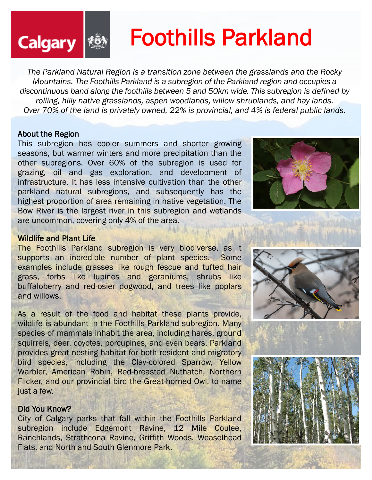# Foothills Parkland

*The Parkland Natural Region is a transition zone between the grasslands and the Rocky Mountains. The Foothills Parkland is a subregion of the Parkland region and occupies a discontinuous band along the foothills between 5 and 50km wide. This subregion is defined by rolling, hilly native grasslands, aspen woodlands, willow shrublands, and hay lands. Over 70% of the land is privately owned, 22% is provincial, and 4% is federal public lands.*

#### About the Region

**Calgary** 

This subregion has cooler summers and shorter growing seasons, but warmer winters and more precipitation than the other subregions. Over 60% of the subregion is used for grazing, oil and gas exploration, and development of infrastructure. It has less intensive cultivation than the other parkland natural subregions, and subsequently has the highest proportion of area remaining in native vegetation. The Bow River is the largest river in this subregion and wetlands are uncommon, covering only 4% of the area.



#### Wildlife and Plant Life

The Foothills Parkland subregion is very biodiverse, as it supports an incredible number of plant species. Some examples include grasses like rough fescue and tufted hair grass, forbs like lupines and geraniums, shrubs like buffaloberry and red-osier dogwood, and trees like poplars and willows.

As a result of the food and habitat these plants provide, wildlife is abundant in the Foothills Parkland subregion. Many species of mammals inhabit the area, including hares, ground squirrels, deer, coyotes, porcupines, and even bears. Parkland provides great nesting habitat for both resident and migratory bird species, including the Clay-colored Sparrow, Yellow Warbler, American Robin, Red-breasted Nuthatch, Northern Flicker, and our provincial bird the Great-horned Owl, to name just a few.

#### Did You Know?

City of Calgary parks that fall within the Foothills Parkland subregion include [Edgemont Ravine,](https://www.calgary.ca/csps/parks/locations/nw-parks/edgemont-ravine.html) 12 [Mile Coulee,](https://www.calgary.ca/csps/parks/locations/nw-parks/12-mile-coulee.html)  [Ranchlands,](https://www.calgary.ca/csps/parks/locations/nw-parks/ranchlands-park.html) [Strathcona Ravine,](https://www.calgary.ca/csps/parks/locations/sw-parks/strathcona-ravines.html) [Griffith Woods,](https://www.calgary.ca/csps/parks/locations/sw-parks/griffith-woods.html) [Weaselhead](https://www.calgary.ca/csps/parks/locations/sw-parks/weaselhead-flats.html)  [Flats,](https://www.calgary.ca/csps/parks/locations/sw-parks/weaselhead-flats.html) and North and South Glenmore Park.



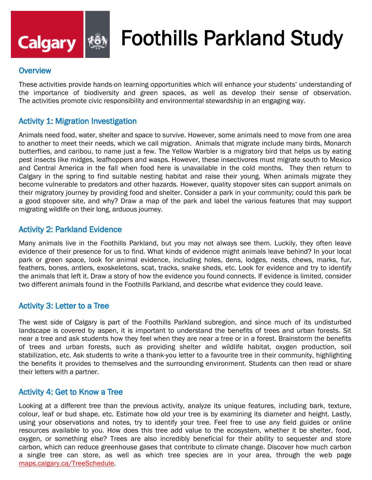

# Foothills Parkland Study

#### **Overview**

These activities provide hands-on learning opportunities which will enhance your students' understanding of the importance of biodiversity and green spaces, as well as develop their sense of observation. The activities promote civic responsibility and environmental stewardship in an engaging way.

#### Activity 1: Migration Investigation

Animals need food, water, shelter and space to survive. However, some animals need to move from one area to another to meet their needs, which we call migration. Animals that migrate include many birds, Monarch butterflies, and caribou, to name just a few. The Yellow Warbler is a migratory bird that helps us by eating pest insects like midges, leafhoppers and wasps. However, these insectivores must migrate south to Mexico and Central America in the fall when food here is unavailable in the cold months. They then return to Calgary in the spring to find suitable nesting habitat and raise their young. When animals migrate they become vulnerable to predators and other hazards. However, quality stopover sites can support animals on their migratory journey by providing food and shelter. Consider a park in your community; could this park be a good stopover site, and why? Draw a map of the park and label the various features that may support migrating wildlife on their long, arduous journey.

#### Activity 2: Parkland Evidence

Many animals live in the Foothills Parkland, but you may not always see them. Luckily, they often leave evidence of their presence for us to find. What kinds of evidence might animals leave behind? In your local park or green space, look for animal evidence, including holes, dens, lodges, nests, chews, marks, fur, feathers, bones, antlers, exoskeletons, scat, tracks, snake sheds, etc. Look for evidence and try to identify the animals that left it. Draw a story of how the evidence you found connects. If evidence is limited, consider two different animals found in the Foothills Parkland, and describe what evidence they could leave.

#### Activity 3: [Letter to a Tree](https://canopy.org/tree-info/benefits-of-trees/)

The west side of Calgary is part of the Foothills Parkland subregion, and since much of its undisturbed landscape is covered by aspen, it is important to understand the benefits of trees and urban forests. Sit near a tree and ask students how they feel when they are near a tree or in a forest. Brainstorm the benefits of trees and urban forests, such as providing shelter and wildlife habitat, oxygen production, soil stabilization, etc. Ask students to write a thank-you letter to a favourite tree in their community, highlighting the benefits it provides to themselves and the surrounding environment. Students can then read or share their letters with a partner.

#### Activity 4: Get to Know a Tree

Looking at a different tree than the previous activity, analyze its unique features, including bark, texture, colour, leaf or bud shape, etc. Estimate how old your tree is by examining its diameter and height. Lastly, using your observations and notes, try to identify your tree. Feel free to use any field guides or online resources available to you. How does this tree add value to the ecosystem, whether it be shelter, food, oxygen, or something else? Trees are also incredibly beneficial for their ability to sequester and store carbon, which can reduce greenhouse gases that contribute to climate change. Discover how much carbon a single tree can store, as well as which tree species are in your area, through the web page [maps.calgary.ca/TreeSchedule.](https://maps.calgary.ca/TreeSchedule/)